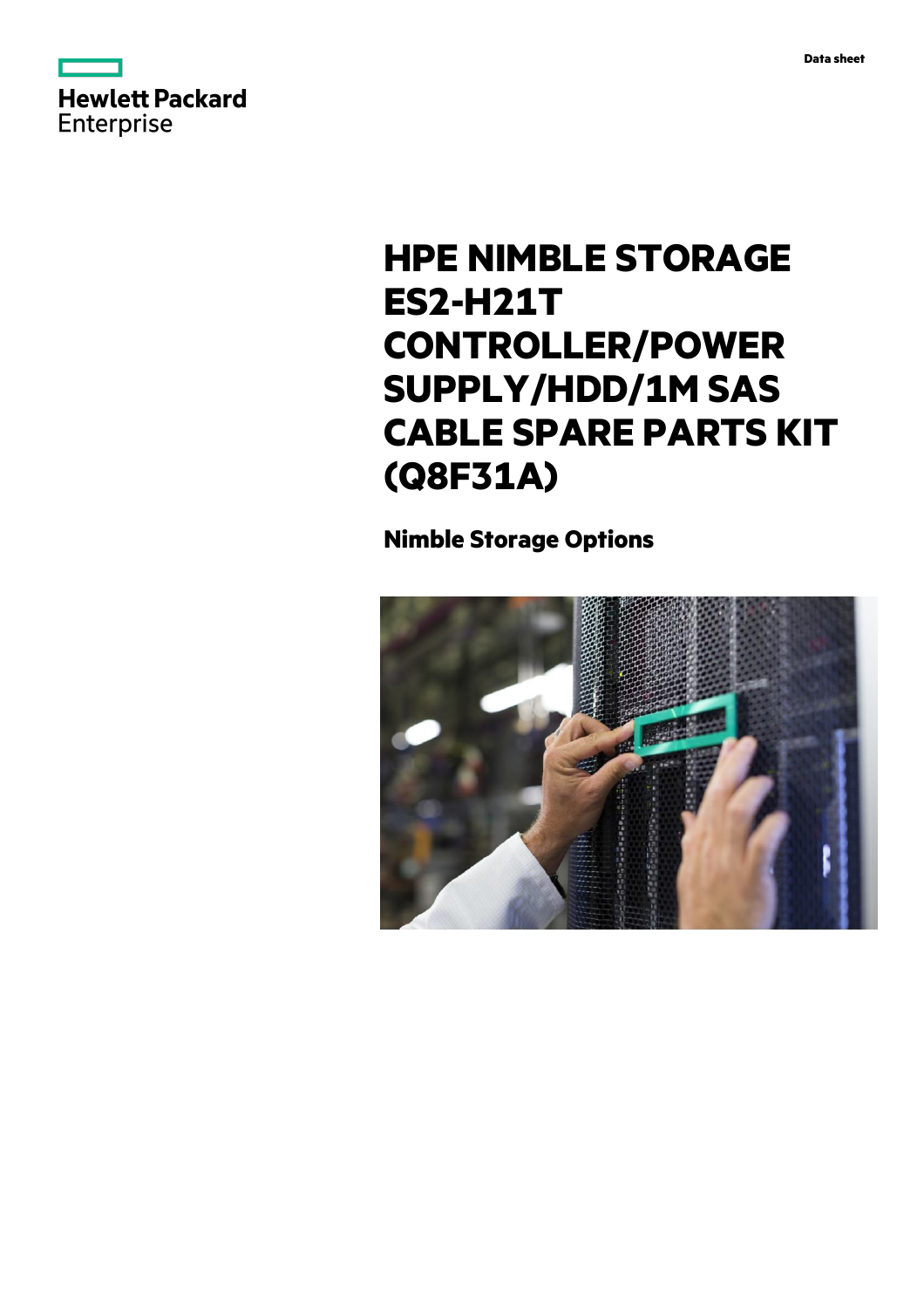



# **HPE NIMBLE STORAGE ES2-H21T CONTROLLER/POWER SUPPLY/HDD/1M SAS CABLE SPARE PARTS KIT (Q8F31A)**

# **Nimble Storage Options**